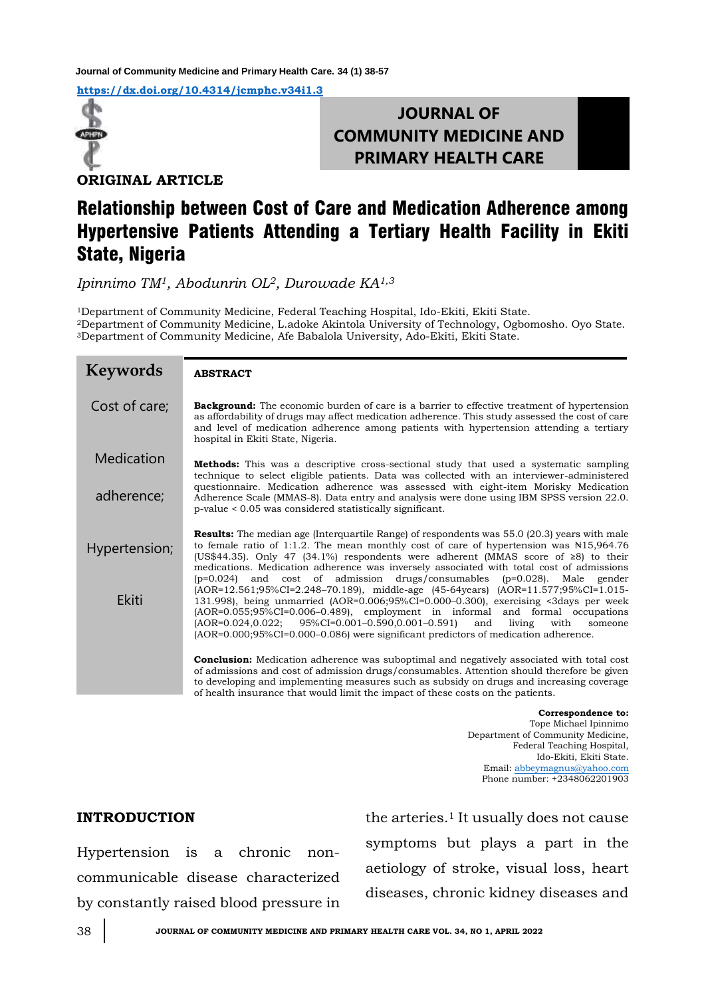**Journal of Community Medicine and Primary Health Care. 34 (1) 38-57**

**<https://dx.doi.org/10.4314/jcmphc.v34i1.3>**



## **JOURNAL OF COMMUNITY MEDICINE AND PRIMARY HEALTH CARE**

**ORIGINAL ARTICLE**

# Relationship between Cost of Care and Medication Adherence among Hypertensive Patients Attending a Tertiary Health Facility in Ekiti State, Nigeria

*Ipinnimo TM1, Abodunrin OL2, Durowade KA1,3*

<sup>1</sup>Department of Community Medicine, Federal Teaching Hospital, Ido-Ekiti, Ekiti State. <sup>2</sup>Department of Community Medicine, L.adoke Akintola University of Technology, Ogbomosho. Oyo State. <sup>3</sup>Department of Community Medicine, Afe Babalola University, Ado-Ekiti, Ekiti State.

| <b>Keywords</b> | <b>ABSTRACT</b>                                                                                                                                                                                                                                                                                                                                                                                                                                                                        |
|-----------------|----------------------------------------------------------------------------------------------------------------------------------------------------------------------------------------------------------------------------------------------------------------------------------------------------------------------------------------------------------------------------------------------------------------------------------------------------------------------------------------|
| Cost of care;   | <b>Background:</b> The economic burden of care is a barrier to effective treatment of hypertension<br>as affordability of drugs may affect medication adherence. This study assessed the cost of care<br>and level of medication adherence among patients with hypertension attending a tertiary<br>hospital in Ekiti State, Nigeria.                                                                                                                                                  |
| Medication      | <b>Methods:</b> This was a descriptive cross-sectional study that used a systematic sampling<br>technique to select eligible patients. Data was collected with an interviewer-administered                                                                                                                                                                                                                                                                                             |
| adherence;      | questionnaire. Medication adherence was assessed with eight-item Morisky Medication<br>Adherence Scale (MMAS-8). Data entry and analysis were done using IBM SPSS version 22.0.<br>p-value < 0.05 was considered statistically significant.                                                                                                                                                                                                                                            |
| Hypertension;   | <b>Results:</b> The median age (Interquartile Range) of respondents was 55.0 (20.3) years with male<br>to female ratio of 1:1.2. The mean monthly cost of care of hypertension was $\text{N15},964.76$<br>(US\$44.35). Only 47 (34.1%) respondents were adherent (MMAS score of $\geq 8$ ) to their<br>medications. Medication adherence was inversely associated with total cost of admissions<br>and cost of admission drugs/consumables (p=0.028).<br>Male<br>gender<br>$(p=0.024)$ |
| <b>Ekiti</b>    | (AOR=12.561;95%CI=2.248-70.189), middle-age (45-64years) (AOR=11.577;95%CI=1.015-<br>131.998), being unmarried (AOR=0.006;95%CI=0.000–0.300), exercising <3days per week<br>$(AOR=0.055;95\%CI=0.006-0.489)$ , employment in informal and formal occupations<br>(AOR=0.024,0.022;<br>95%CI=0.001-0.590,0.001-0.591)<br>living<br>with<br>and<br>someone<br>$[AOR=0.000;95\%CI=0.000-0.086]$ were significant predictors of medication adherence.                                       |
|                 | <b>Conclusion:</b> Medication adherence was suboptimal and negatively associated with total cost<br>of admissions and cost of admission drugs/consumables. Attention should therefore be given<br>to developing and implementing measures such as subsidy on drugs and increasing coverage<br>of health insurance that would limit the impact of these costs on the patients.                                                                                                          |

**Correspondence to:**  Tope Michael Ipinnimo Department of Community Medicine, Federal Teaching Hospital, Ido-Ekiti, Ekiti State. Email: [abbeymagnus@yahoo.com](mailto:abbeymagnus@yahoo.com) Phone number: +2348062201903

## **INTRODUCTION**

Hypertension is a chronic noncommunicable disease characterized by constantly raised blood pressure in the arteries.<sup>1</sup> It usually does not cause symptoms but plays a part in the aetiology of stroke, visual loss, heart diseases, chronic kidney diseases and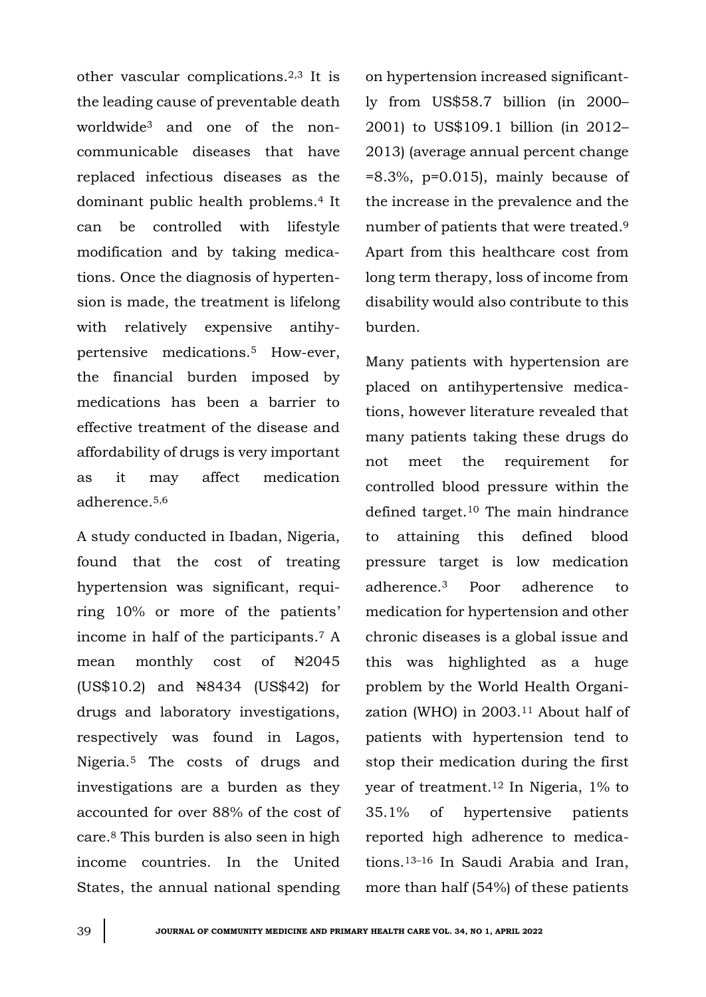other vascular complications.2,3 It is the leading cause of preventable death worldwide<sup>3</sup> and one of the noncommunicable diseases that have replaced infectious diseases as the dominant public health problems.<sup>4</sup> It can be controlled with lifestyle modification and by taking medications. Once the diagnosis of hypertension is made, the treatment is lifelong with relatively expensive antihypertensive medications.<sup>5</sup> How-ever, the financial burden imposed by medications has been a barrier to effective treatment of the disease and affordability of drugs is very important as it may affect medication adherence.5,6

A study conducted in Ibadan, Nigeria, found that the cost of treating hypertension was significant, requiring 10% or more of the patients' income in half of the participants.<sup>7</sup> A mean monthly cost of  $\frac{12045}{5}$ (US\$10.2) and ₦8434 (US\$42) for drugs and laboratory investigations, respectively was found in Lagos, Nigeria.<sup>5</sup> The costs of drugs and investigations are a burden as they accounted for over 88% of the cost of care.<sup>8</sup> This burden is also seen in high income countries. In the United States, the annual national spending

on hypertension increased significantly from US\$58.7 billion (in 2000– 2001) to US\$109.1 billion (in 2012– 2013) (average annual percent change  $=8.3\%$ , p=0.015), mainly because of the increase in the prevalence and the number of patients that were treated.<sup>9</sup> Apart from this healthcare cost from long term therapy, loss of income from disability would also contribute to this burden.

Many patients with hypertension are placed on antihypertensive medications, however literature revealed that many patients taking these drugs do not meet the requirement for controlled blood pressure within the defined target.<sup>10</sup> The main hindrance to attaining this defined blood pressure target is low medication adherence.<sup>3</sup> Poor adherence to medication for hypertension and other chronic diseases is a global issue and this was highlighted as a huge problem by the World Health Organization (WHO) in 2003.<sup>11</sup> About half of patients with hypertension tend to stop their medication during the first year of treatment.<sup>12</sup> In Nigeria, 1% to 35.1% of hypertensive patients reported high adherence to medications.13–<sup>16</sup> In Saudi Arabia and Iran, more than half (54%) of these patients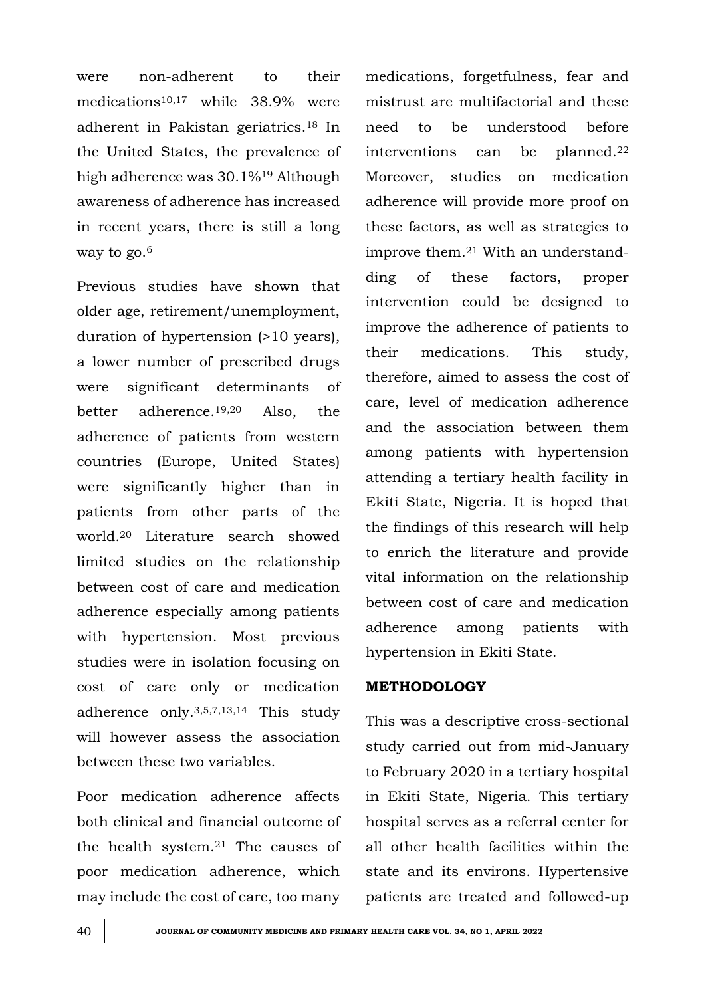were non-adherent to their medications10,17 while 38.9% were adherent in Pakistan geriatrics.<sup>18</sup> In the United States, the prevalence of high adherence was 30.1%<sup>19</sup> Although awareness of adherence has increased in recent years, there is still a long way to go.<sup>6</sup>

Previous studies have shown that older age, retirement/unemployment, duration of hypertension (>10 years), a lower number of prescribed drugs were significant determinants of better adherence.19,20 Also, the adherence of patients from western countries (Europe, United States) were significantly higher than in patients from other parts of the world.<sup>20</sup> Literature search showed limited studies on the relationship between cost of care and medication adherence especially among patients with hypertension. Most previous studies were in isolation focusing on cost of care only or medication adherence only.3,5,7,13,14 This study will however assess the association between these two variables.

Poor medication adherence affects both clinical and financial outcome of the health system.<sup>21</sup> The causes of poor medication adherence, which may include the cost of care, too many medications, forgetfulness, fear and mistrust are multifactorial and these need to be understood before interventions can be planned.<sup>22</sup> Moreover, studies on medication adherence will provide more proof on these factors, as well as strategies to improve them.<sup>21</sup> With an understandding of these factors, proper intervention could be designed to improve the adherence of patients to their medications. This study, therefore, aimed to assess the cost of care, level of medication adherence and the association between them among patients with hypertension attending a tertiary health facility in Ekiti State, Nigeria. It is hoped that the findings of this research will help to enrich the literature and provide vital information on the relationship between cost of care and medication adherence among patients with hypertension in Ekiti State.

## **METHODOLOGY**

This was a descriptive cross-sectional study carried out from mid-January to February 2020 in a tertiary hospital in Ekiti State, Nigeria. This tertiary hospital serves as a referral center for all other health facilities within the state and its environs. Hypertensive patients are treated and followed-up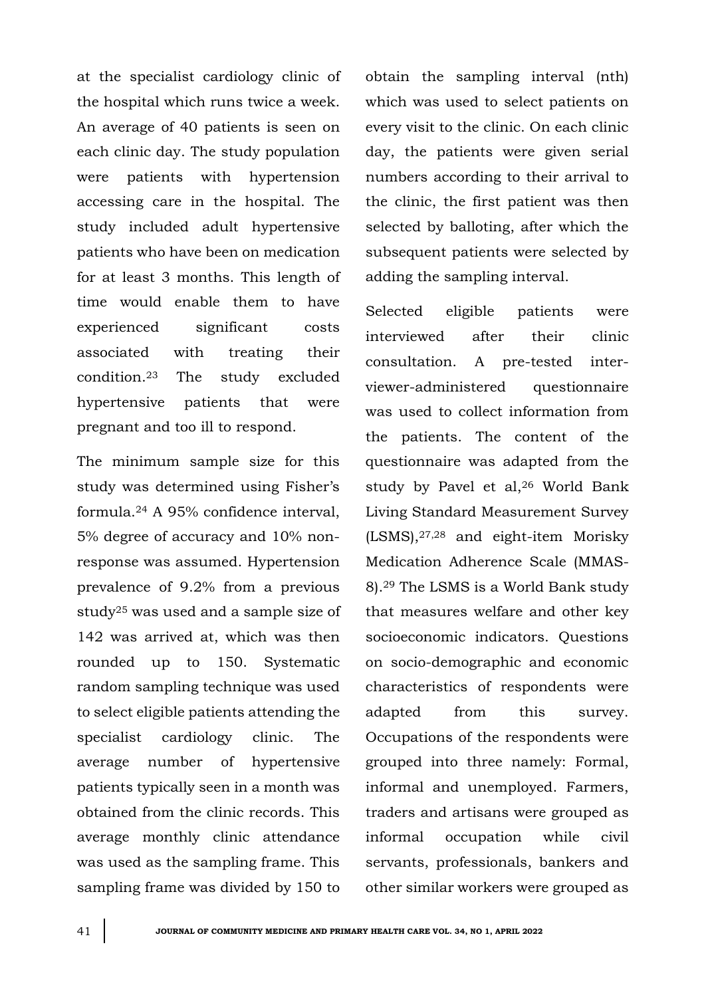at the specialist cardiology clinic of the hospital which runs twice a week. An average of 40 patients is seen on each clinic day. The study population were patients with hypertension accessing care in the hospital. The study included adult hypertensive patients who have been on medication for at least 3 months. This length of time would enable them to have experienced significant costs associated with treating their condition.<sup>23</sup> The study excluded hypertensive patients that were pregnant and too ill to respond.

The minimum sample size for this study was determined using Fisher's formula.<sup>24</sup> A 95% confidence interval, 5% degree of accuracy and 10% nonresponse was assumed. Hypertension prevalence of 9.2% from a previous study<sup>25</sup> was used and a sample size of 142 was arrived at, which was then rounded up to 150. Systematic random sampling technique was used to select eligible patients attending the specialist cardiology clinic. The average number of hypertensive patients typically seen in a month was obtained from the clinic records. This average monthly clinic attendance was used as the sampling frame. This sampling frame was divided by 150 to obtain the sampling interval (nth) which was used to select patients on every visit to the clinic. On each clinic day, the patients were given serial numbers according to their arrival to the clinic, the first patient was then selected by balloting, after which the subsequent patients were selected by adding the sampling interval.

Selected eligible patients were interviewed after their clinic consultation. A pre-tested interviewer-administered questionnaire was used to collect information from the patients. The content of the questionnaire was adapted from the study by Pavel et al,<sup>26</sup> World Bank Living Standard Measurement Survey (LSMS),27,28 and eight-item Morisky Medication Adherence Scale (MMAS-8).<sup>29</sup> The LSMS is a World Bank study that measures welfare and other key socioeconomic indicators. Questions on socio-demographic and economic characteristics of respondents were adapted from this survey. Occupations of the respondents were grouped into three namely: Formal, informal and unemployed. Farmers, traders and artisans were grouped as informal occupation while civil servants, professionals, bankers and other similar workers were grouped as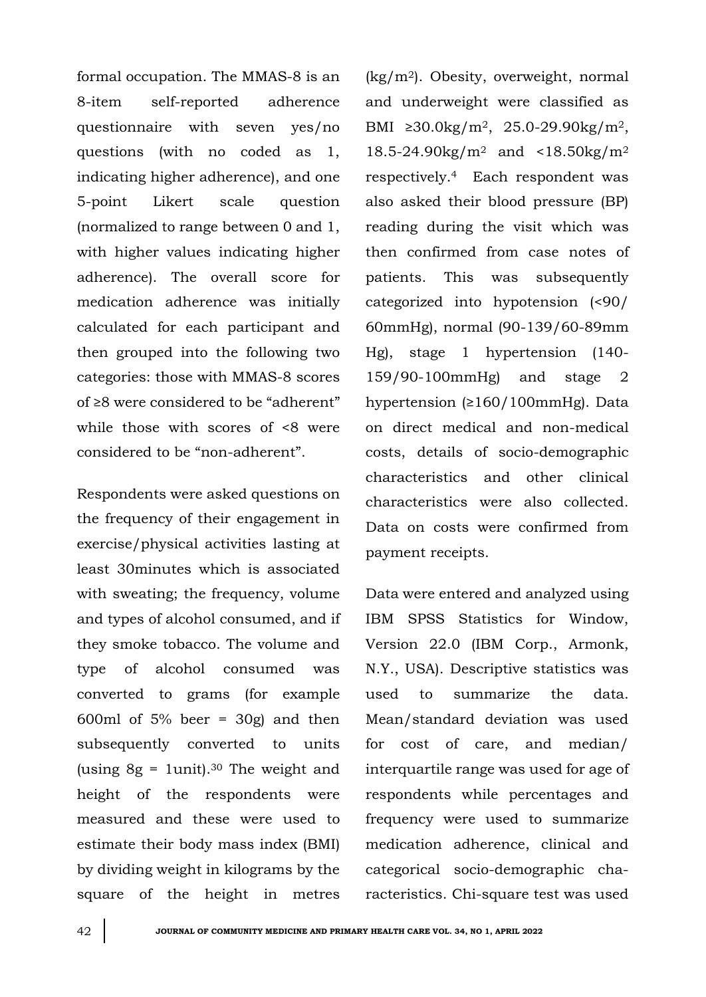formal occupation. The MMAS-8 is an 8-item self-reported adherence questionnaire with seven yes/no questions (with no coded as 1, indicating higher adherence), and one 5-point Likert scale question (normalized to range between 0 and 1, with higher values indicating higher adherence). The overall score for medication adherence was initially calculated for each participant and then grouped into the following two categories: those with MMAS-8 scores of ≥8 were considered to be "adherent" while those with scores of <8 were considered to be "non-adherent".

Respondents were asked questions on the frequency of their engagement in exercise/physical activities lasting at least 30minutes which is associated with sweating; the frequency, volume and types of alcohol consumed, and if they smoke tobacco. The volume and type of alcohol consumed was converted to grams (for example 600ml of  $5\%$  beer =  $30g$  and then subsequently converted to units (using  $8g = 1$ unit).<sup>30</sup> The weight and height of the respondents were measured and these were used to estimate their body mass index (BMI) by dividing weight in kilograms by the square of the height in metres

(kg/m2). Obesity, overweight, normal and underweight were classified as BMI  $\geq 30.0 \text{kg/m}^2$ , 25.0-29.90kg/m<sup>2</sup>, 18.5-24.90 $kg/m^2$  and <18.50 $kg/m^2$ respectively.4 Each respondent was also asked their blood pressure (BP) reading during the visit which was then confirmed from case notes of patients. This was subsequently categorized into hypotension (<90/ 60mmHg), normal (90-139/60-89mm Hg), stage 1 hypertension (140- 159/90-100mmHg) and stage 2 hypertension (≥160/100mmHg). Data on direct medical and non-medical costs, details of socio-demographic characteristics and other clinical characteristics were also collected. Data on costs were confirmed from payment receipts.

Data were entered and analyzed using IBM SPSS Statistics for Window, Version 22.0 (IBM Corp., Armonk, N.Y., USA). Descriptive statistics was used to summarize the data. Mean/standard deviation was used for cost of care, and median/ interquartile range was used for age of respondents while percentages and frequency were used to summarize medication adherence, clinical and categorical socio-demographic characteristics. Chi-square test was used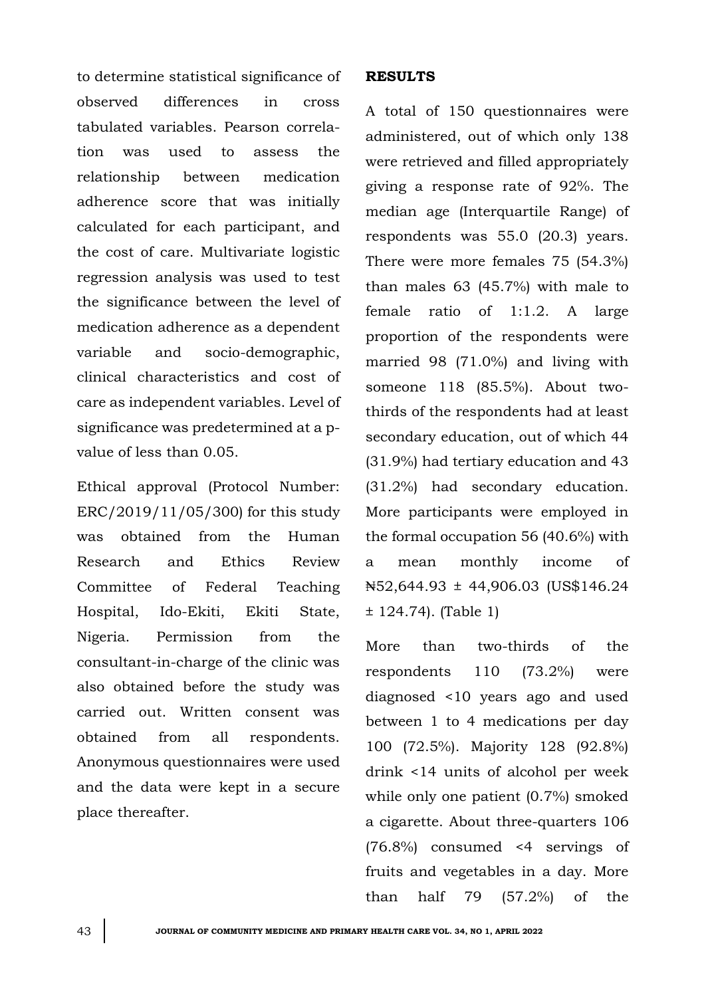to determine statistical significance of observed differences in cross tabulated variables. Pearson correlation was used to assess the relationship between medication adherence score that was initially calculated for each participant, and the cost of care. Multivariate logistic regression analysis was used to test the significance between the level of medication adherence as a dependent variable and socio-demographic, clinical characteristics and cost of care as independent variables. Level of significance was predetermined at a pvalue of less than 0.05.

Ethical approval (Protocol Number: ERC/2019/11/05/300) for this study was obtained from the Human Research and Ethics Review Committee of Federal Teaching Hospital, Ido-Ekiti, Ekiti State, Nigeria. Permission from the consultant-in-charge of the clinic was also obtained before the study was carried out. Written consent was obtained from all respondents. Anonymous questionnaires were used and the data were kept in a secure place thereafter.

#### **RESULTS**

A total of 150 questionnaires were administered, out of which only 138 were retrieved and filled appropriately giving a response rate of 92%. The median age (Interquartile Range) of respondents was 55.0 (20.3) years. There were more females 75 (54.3%) than males 63 (45.7%) with male to female ratio of 1:1.2. A large proportion of the respondents were married 98 (71.0%) and living with someone 118 (85.5%). About twothirds of the respondents had at least secondary education, out of which 44 (31.9%) had tertiary education and 43 (31.2%) had secondary education. More participants were employed in the formal occupation 56 (40.6%) with a mean monthly income of ₦52,644.93 ± 44,906.03 (US\$146.24 ± 124.74). (Table 1)

More than two-thirds of the respondents 110 (73.2%) were diagnosed <10 years ago and used between 1 to 4 medications per day 100 (72.5%). Majority 128 (92.8%) drink <14 units of alcohol per week while only one patient (0.7%) smoked a cigarette. About three-quarters 106 (76.8%) consumed <4 servings of fruits and vegetables in a day. More than half 79 (57.2%) of the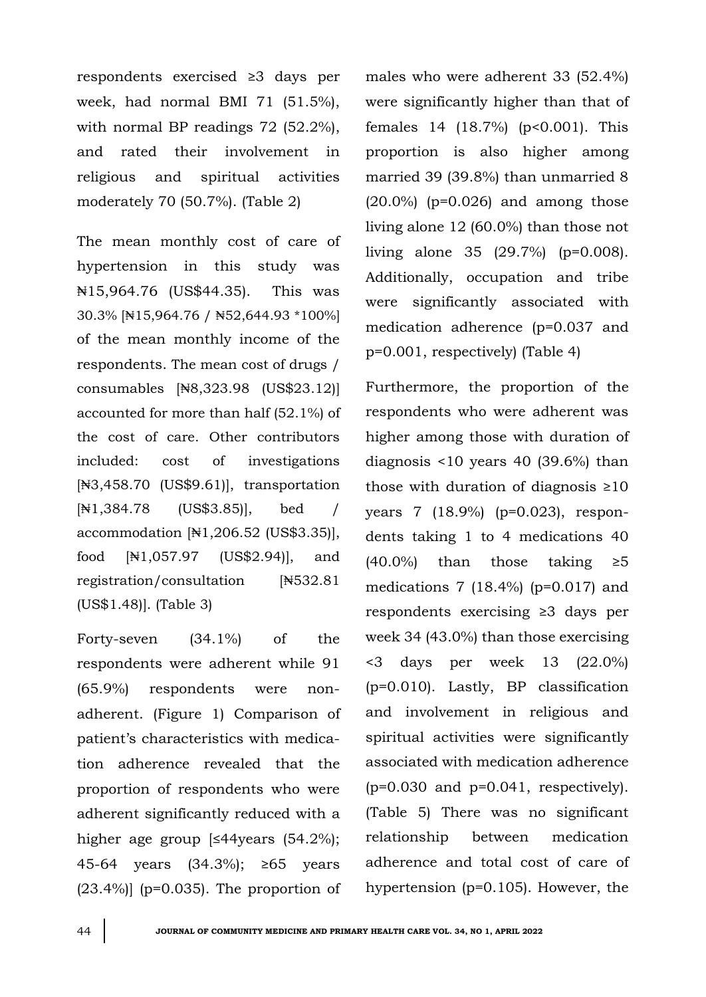respondents exercised ≥3 days per week, had normal BMI 71 (51.5%), with normal BP readings 72 (52.2%), and rated their involvement in religious and spiritual activities moderately 70 (50.7%). (Table 2)

The mean monthly cost of care of hypertension in this study was ₦15,964.76 (US\$44.35). This was 30.3% [₦15,964.76 / ₦52,644.93 \*100%] of the mean monthly income of the respondents. The mean cost of drugs / consumables [₦8,323.98 (US\$23.12)] accounted for more than half (52.1%) of the cost of care. Other contributors included: cost of investigations [₦3,458.70 (US\$9.61)], transportation [₦1,384.78 (US\$3.85)], bed / accommodation [₦1,206.52 (US\$3.35)], food [₦1,057.97 (US\$2.94)], and registration/consultation [₦532.81 (US\$1.48)]. (Table 3)

Forty-seven (34.1%) of the respondents were adherent while 91 (65.9%) respondents were nonadherent. (Figure 1) Comparison of patient's characteristics with medication adherence revealed that the proportion of respondents who were adherent significantly reduced with a higher age group [≤44years (54.2%); 45-64 years (34.3%); ≥65 years  $(23.4\%)$ ] (p=0.035). The proportion of males who were adherent 33 (52.4%) were significantly higher than that of females 14 (18.7%) (p<0.001). This proportion is also higher among married 39 (39.8%) than unmarried 8 (20.0%) (p=0.026) and among those living alone 12 (60.0%) than those not living alone 35 (29.7%) (p=0.008). Additionally, occupation and tribe were significantly associated with medication adherence (p=0.037 and p=0.001, respectively) (Table 4)

Furthermore, the proportion of the respondents who were adherent was higher among those with duration of diagnosis <10 years 40 (39.6%) than those with duration of diagnosis  $\geq 10$ years 7 (18.9%) (p=0.023), respondents taking 1 to 4 medications 40  $(40.0\%)$  than those taking  $\geq 5$ medications 7  $(18.4\%)$  (p=0.017) and respondents exercising ≥3 days per week 34 (43.0%) than those exercising <3 days per week 13 (22.0%) (p=0.010). Lastly, BP classification and involvement in religious and spiritual activities were significantly associated with medication adherence  $(p=0.030$  and  $p=0.041$ , respectively). (Table 5) There was no significant relationship between medication adherence and total cost of care of hypertension (p=0.105). However, the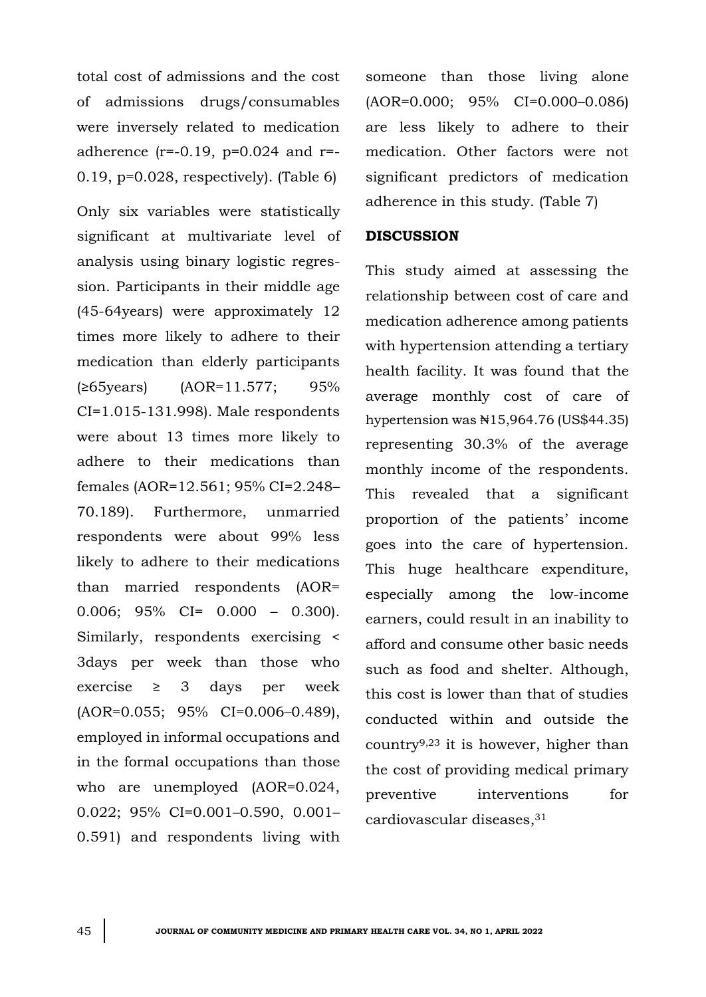total cost of admissions and the cost of admissions drugs/consumables were inversely related to medication adherence  $(r=-0.19, p=0.024$  and  $r=-$ 0.19, p=0.028, respectively). (Table 6)

Only six variables were statistically significant at multivariate level of analysis using binary logistic regression. Participants in their middle age (45-64years) were approximately 12 times more likely to adhere to their medication than elderly participants (≥65years) (AOR=11.577; 95% CI=1.015-131.998). Male respondents were about 13 times more likely to adhere to their medications than females (AOR=12.561; 95% CI=2.248– 70.189). Furthermore, unmarried respondents were about 99% less likely to adhere to their medications than married respondents (AOR= 0.006;  $95\%$  CI= 0.000 - 0.300). Similarly, respondents exercising < 3days per week than those who exercise  $\geq$  3 days per week (AOR=0.055; 95% CI=0.006–0.489), employed in informal occupations and in the formal occupations than those who are unemployed (AOR=0.024, 0.022; 95% CI=0.001–0.590, 0.001– 0.591) and respondents living with

someone than those living alone (AOR=0.000; 95% CI=0.000–0.086) are less likely to adhere to their medication. Other factors were not significant predictors of medication adherence in this study. (Table 7)

#### **DISCUSSION**

This study aimed at assessing the relationship between cost of care and medication adherence among patients with hypertension attending a tertiary health facility. It was found that the average monthly cost of care of hypertension was ₦15,964.76 (US\$44.35) representing 30.3% of the average monthly income of the respondents. This revealed that a significant proportion of the patients' income goes into the care of hypertension. This huge healthcare expenditure, especially among the low-income earners, could result in an inability to afford and consume other basic needs such as food and shelter. Although, this cost is lower than that of studies conducted within and outside the country9,23 it is however, higher than the cost of providing medical primary preventive interventions for cardiovascular diseases,31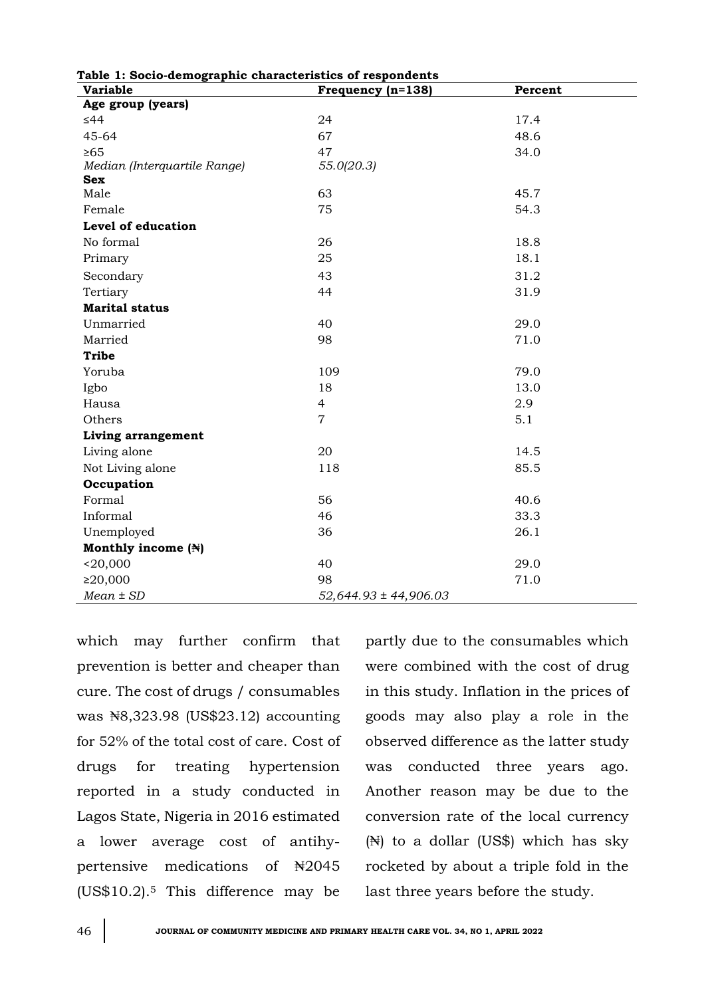| Table 1: Socio-demographic characteristics of respondents<br><b>Variable</b> | Frequency (n=138)         | Percent |  |
|------------------------------------------------------------------------------|---------------------------|---------|--|
| Age group (years)                                                            |                           |         |  |
| $\leq 44$                                                                    | 24                        | 17.4    |  |
| 45-64                                                                        | 67                        | 48.6    |  |
| $\geq 65$                                                                    | 47                        | 34.0    |  |
| Median (Interquartile Range)                                                 | 55.0(20.3)                |         |  |
| <b>Sex</b>                                                                   |                           |         |  |
| Male                                                                         | 63                        | 45.7    |  |
| Female                                                                       | 75                        | 54.3    |  |
| Level of education                                                           |                           |         |  |
| No formal                                                                    | 26                        | 18.8    |  |
| Primary                                                                      | 25                        | 18.1    |  |
| Secondary                                                                    | 43                        | 31.2    |  |
| Tertiary                                                                     | 44                        | 31.9    |  |
| <b>Marital status</b>                                                        |                           |         |  |
| Unmarried                                                                    | 40                        | 29.0    |  |
| Married                                                                      | 98                        | 71.0    |  |
| <b>Tribe</b>                                                                 |                           |         |  |
| Yoruba                                                                       | 109                       | 79.0    |  |
| Igbo                                                                         | 18                        | 13.0    |  |
| Hausa                                                                        | $\overline{4}$            | 2.9     |  |
| Others                                                                       | $\overline{7}$            | 5.1     |  |
| <b>Living arrangement</b>                                                    |                           |         |  |
| Living alone                                                                 | 20                        | 14.5    |  |
| Not Living alone                                                             | 118                       | 85.5    |  |
| Occupation                                                                   |                           |         |  |
| Formal                                                                       | 56                        | 40.6    |  |
| Informal                                                                     | 46                        | 33.3    |  |
| Unemployed                                                                   | 36                        | 26.1    |  |
| Monthly income (N)                                                           |                           |         |  |
| $20,000$                                                                     | 40                        | 29.0    |  |
| ≥20,000                                                                      | 98                        | 71.0    |  |
| $Mean \pm SD$                                                                | $52,644.93 \pm 44,906.03$ |         |  |

**Table 1: Socio-demographic characteristics of respondents**

which may further confirm that prevention is better and cheaper than cure. The cost of drugs / consumables was ₦8,323.98 (US\$23.12) accounting for 52% of the total cost of care. Cost of drugs for treating hypertension reported in a study conducted in Lagos State, Nigeria in 2016 estimated a lower average cost of antihypertensive medications of ₦2045 (US\$10.2).<sup>5</sup> This difference may be

partly due to the consumables which were combined with the cost of drug in this study. Inflation in the prices of goods may also play a role in the observed difference as the latter study was conducted three years ago. Another reason may be due to the conversion rate of the local currency (₦) to a dollar (US\$) which has sky rocketed by about a triple fold in the last three years before the study.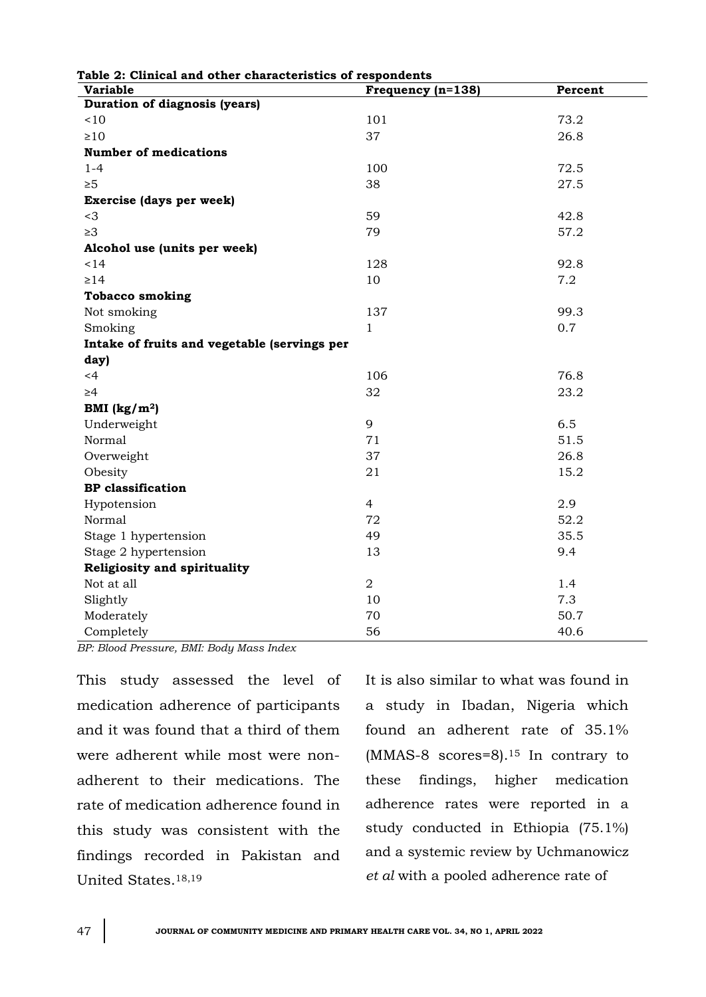| Table 2: Clinical and other characteristics of respondents<br><b>Variable</b> | Frequency (n=138) | Percent |  |
|-------------------------------------------------------------------------------|-------------------|---------|--|
| Duration of diagnosis (years)                                                 |                   |         |  |
| ~10                                                                           | 101               | 73.2    |  |
| $\geq 10$                                                                     | 37                | 26.8    |  |
| <b>Number of medications</b>                                                  |                   |         |  |
| $1 - 4$                                                                       | 100               | 72.5    |  |
| $\geq 5$                                                                      | 38                | 27.5    |  |
| Exercise (days per week)                                                      |                   |         |  |
| $<$ 3                                                                         | 59                | 42.8    |  |
| $\geq 3$                                                                      | 79                | 57.2    |  |
| Alcohol use (units per week)                                                  |                   |         |  |
| 14                                                                            | 128               | 92.8    |  |
| $\geq$ 14                                                                     | 10                | 7.2     |  |
| <b>Tobacco smoking</b>                                                        |                   |         |  |
| Not smoking                                                                   | 137               | 99.3    |  |
| Smoking                                                                       | $\mathbf{1}$      | 0.7     |  |
| Intake of fruits and vegetable (servings per                                  |                   |         |  |
| day)                                                                          |                   |         |  |
| <4                                                                            | 106               | 76.8    |  |
| $\geq 4$                                                                      | 32                | 23.2    |  |
| BMI $(kg/m2)$                                                                 |                   |         |  |
| Underweight                                                                   | 9                 | 6.5     |  |
| Normal                                                                        | 71                | 51.5    |  |
| Overweight                                                                    | 37                | 26.8    |  |
| Obesity                                                                       | 21                | 15.2    |  |
| <b>BP</b> classification                                                      |                   |         |  |
| Hypotension                                                                   | $\overline{4}$    | 2.9     |  |
| Normal                                                                        | 72                | 52.2    |  |
| Stage 1 hypertension                                                          | 49                | 35.5    |  |
| Stage 2 hypertension                                                          | 13                | 9.4     |  |
| Religiosity and spirituality                                                  |                   |         |  |
| Not at all                                                                    | $\overline{2}$    | 1.4     |  |
| Slightly                                                                      | 10                | 7.3     |  |
| Moderately                                                                    | 70                | 50.7    |  |
| Completely                                                                    | 56                | 40.6    |  |

This study assessed the level of

medication adherence of participants and it was found that a third of them were adherent while most were nonadherent to their medications. The rate of medication adherence found in this study was consistent with the findings recorded in Pakistan and United States.18,19

It is also similar to what was found in a study in Ibadan, Nigeria which found an adherent rate of 35.1%  $(MMAS-8$  scores=8).<sup>15</sup> In contrary to these findings, higher medication adherence rates were reported in a study conducted in Ethiopia (75.1%) and a systemic review by Uchmanowicz *et al* with a pooled adherence rate of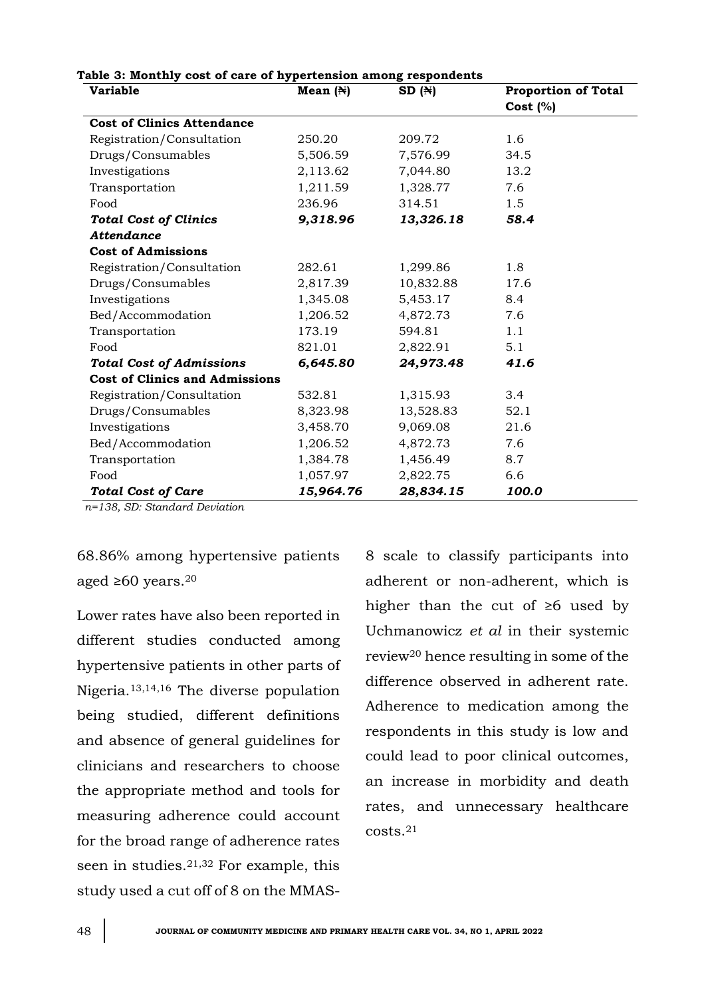| <b>Variable</b>                       | Mean $(\mathbb{N})$ | SD(H)     | <b>Proportion of Total</b> |  |  |
|---------------------------------------|---------------------|-----------|----------------------------|--|--|
|                                       |                     |           | Cost (%)                   |  |  |
| <b>Cost of Clinics Attendance</b>     |                     |           |                            |  |  |
| Registration/Consultation             | 250.20              | 209.72    | 1.6                        |  |  |
| Drugs/Consumables                     | 5,506.59            | 7,576.99  | 34.5                       |  |  |
| Investigations                        | 2,113.62            | 7,044.80  | 13.2                       |  |  |
| Transportation                        | 1,211.59            | 1,328.77  | 7.6                        |  |  |
| Food                                  | 236.96              | 314.51    | 1.5                        |  |  |
| <b>Total Cost of Clinics</b>          | 9,318.96            | 13,326.18 | 58.4                       |  |  |
| <b>Attendance</b>                     |                     |           |                            |  |  |
| <b>Cost of Admissions</b>             |                     |           |                            |  |  |
| Registration/Consultation             | 282.61              | 1,299.86  | 1.8                        |  |  |
| Drugs/Consumables                     | 2,817.39            | 10,832.88 | 17.6                       |  |  |
| Investigations                        | 1,345.08            | 5,453.17  | 8.4                        |  |  |
| Bed/Accommodation                     | 1,206.52            | 4,872.73  | 7.6                        |  |  |
| Transportation                        | 173.19              | 594.81    | 1.1                        |  |  |
| Food                                  | 821.01              | 2,822.91  | 5.1                        |  |  |
| <b>Total Cost of Admissions</b>       | 6,645.80            | 24,973.48 | 41.6                       |  |  |
| <b>Cost of Clinics and Admissions</b> |                     |           |                            |  |  |
| Registration/Consultation             | 532.81              | 1,315.93  | 3.4                        |  |  |
| Drugs/Consumables                     | 8,323.98            | 13,528.83 | 52.1                       |  |  |
| Investigations                        | 3,458.70            | 9,069.08  | 21.6                       |  |  |
| Bed/Accommodation                     | 1,206.52            | 4,872.73  | 7.6                        |  |  |
| Transportation                        | 1,384.78            | 1,456.49  | 8.7                        |  |  |
| Food                                  | 1,057.97            | 2,822.75  | 6.6                        |  |  |
| <b>Total Cost of Care</b>             | 15,964.76           | 28,834.15 | 100.0                      |  |  |

#### **Table 3: Monthly cost of care of hypertension among respondents**

*n=138, SD: Standard Deviation*

68.86% among hypertensive patients aged ≥60 years. 20

Lower rates have also been reported in different studies conducted among hypertensive patients in other parts of Nigeria.13,14,16 The diverse population being studied, different definitions and absence of general guidelines for clinicians and researchers to choose the appropriate method and tools for measuring adherence could account for the broad range of adherence rates seen in studies. 21,32 For example, this study used a cut off of 8 on the MMAS-

8 scale to classify participants into adherent or non-adherent, which is higher than the cut of ≥6 used by Uchmanowicz *et al* in their systemic review<sup>20</sup> hence resulting in some of the difference observed in adherent rate. Adherence to medication among the respondents in this study is low and could lead to poor clinical outcomes, an increase in morbidity and death rates, and unnecessary healthcare costs.21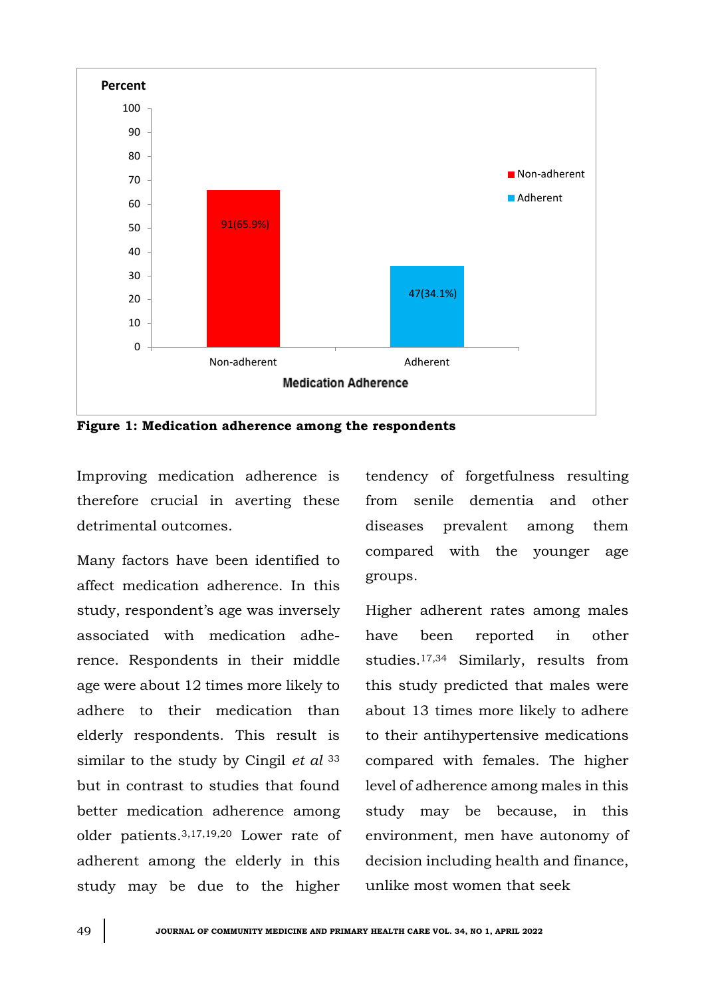

**Figure 1: Medication adherence among the respondents**

Improving medication adherence is therefore crucial in averting these detrimental outcomes.

Many factors have been identified to affect medication adherence. In this study, respondent's age was inversely associated with medication adherence. Respondents in their middle age were about 12 times more likely to adhere to their medication than elderly respondents. This result is similar to the study by Cingil *et al* <sup>33</sup> but in contrast to studies that found better medication adherence among older patients.3,17,19,20 Lower rate of adherent among the elderly in this study may be due to the higher

tendency of forgetfulness resulting from senile dementia and other diseases prevalent among them compared with the younger age groups.

Higher adherent rates among males have been reported in other studies.17,34 Similarly, results from this study predicted that males were about 13 times more likely to adhere to their antihypertensive medications compared with females. The higher level of adherence among males in this study may be because, in this environment, men have autonomy of decision including health and finance, unlike most women that seek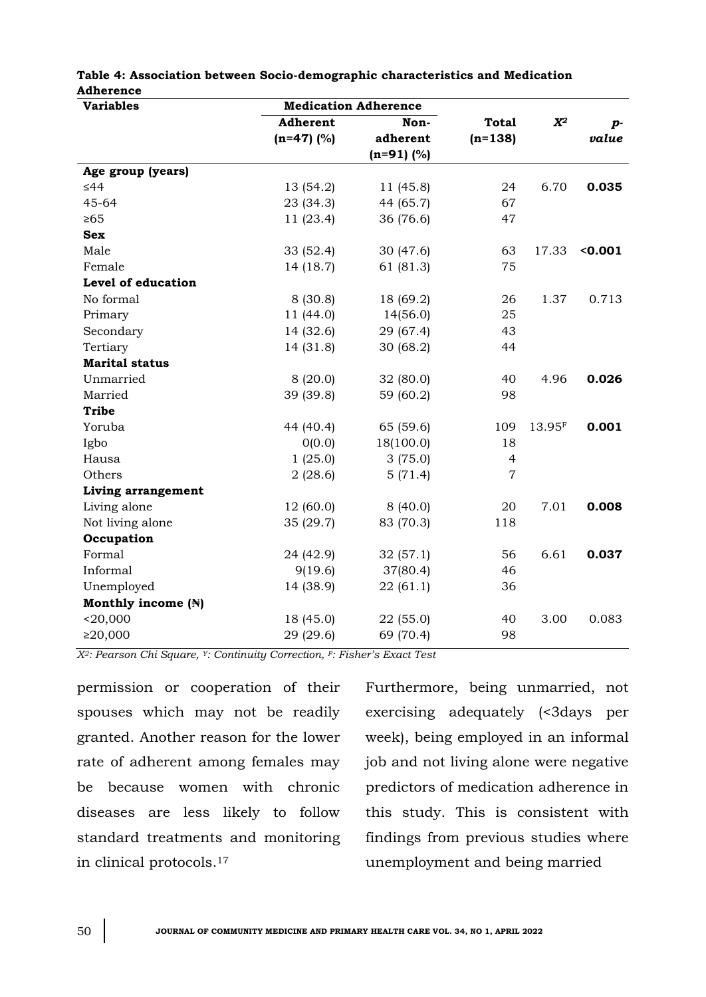| <b>Variables</b>      | <b>Medication Adherence</b> |              |                |        |                  |
|-----------------------|-----------------------------|--------------|----------------|--------|------------------|
|                       | Adherent                    | Non-         | <b>Total</b>   | $X^2$  | $\boldsymbol{p}$ |
|                       | $(n=47)$ (%)                | adherent     | $(n=138)$      |        | value            |
|                       |                             | $(n=91)$ (%) |                |        |                  |
| Age group (years)     |                             |              |                |        |                  |
| $\leq 44$             | 13 (54.2)                   | 11 (45.8)    | 24             | 6.70   | 0.035            |
| 45-64                 | 23 (34.3)                   | 44 (65.7)    | 67             |        |                  |
| $\geq 65$             | 11 (23.4)                   | 36 (76.6)    | 47             |        |                  |
| <b>Sex</b>            |                             |              |                |        |                  |
| Male                  | 33 (52.4)                   | 30(47.6)     | 63             | 17.33  | < 0.001          |
| Female                | 14 (18.7)                   | 61 (81.3)    | 75             |        |                  |
| Level of education    |                             |              |                |        |                  |
| No formal             | 8(30.8)                     | 18 (69.2)    | 26             | 1.37   | 0.713            |
| Primary               | 11 (44.0)                   | 14(56.0)     | 25             |        |                  |
| Secondary             | 14 (32.6)                   | 29 (67.4)    | 43             |        |                  |
| Tertiary              | 14 (31.8)                   | 30(68.2)     | 44             |        |                  |
| <b>Marital status</b> |                             |              |                |        |                  |
| Unmarried             | 8(20.0)                     | 32(80.0)     | 40             | 4.96   | 0.026            |
| Married               | 39 (39.8)                   | 59 (60.2)    | 98             |        |                  |
| <b>Tribe</b>          |                             |              |                |        |                  |
| Yoruba                | 44 (40.4)                   | 65 (59.6)    | 109            | 13.95F | 0.001            |
| Igbo                  | 0(0.0)                      | 18(100.0)    | 18             |        |                  |
| Hausa                 | 1(25.0)                     | 3(75.0)      | $\overline{4}$ |        |                  |
| Others                | 2(28.6)                     | 5(71.4)      | $\overline{7}$ |        |                  |
| Living arrangement    |                             |              |                |        |                  |
| Living alone          | 12 (60.0)                   | 8(40.0)      | 20             | 7.01   | 0.008            |
| Not living alone      | 35 (29.7)                   | 83 (70.3)    | 118            |        |                  |
| Occupation            |                             |              |                |        |                  |
| Formal                | 24 (42.9)                   | 32(57.1)     | 56             | 6.61   | 0.037            |
| Informal              | 9(19.6)                     | 37(80.4)     | 46             |        |                  |
| Unemployed            | 14 (38.9)                   | 22(61.1)     | 36             |        |                  |
| Monthly income (N)    |                             |              |                |        |                  |
| $<$ 20,000            | 18 (45.0)                   | 22 (55.0)    | 40             | 3.00   | 0.083            |
| ≥20,000               | 29 (29.6)                   | 69 (70.4)    | 98             |        |                  |

#### **Table 4: Association between Socio-demographic characteristics and Medication Adherence**

*X2: Pearson Chi Square, Y: Continuity Correction, F: Fisher's Exact Test*

permission or cooperation of their spouses which may not be readily granted. Another reason for the lower rate of adherent among females may be because women with chronic diseases are less likely to follow standard treatments and monitoring in clinical protocols. 17

Furthermore, being unmarried, not exercising adequately (<3days per week), being employed in an informal job and not living alone were negative predictors of medication adherence in this study. This is consistent with findings from previous studies where unemployment and being married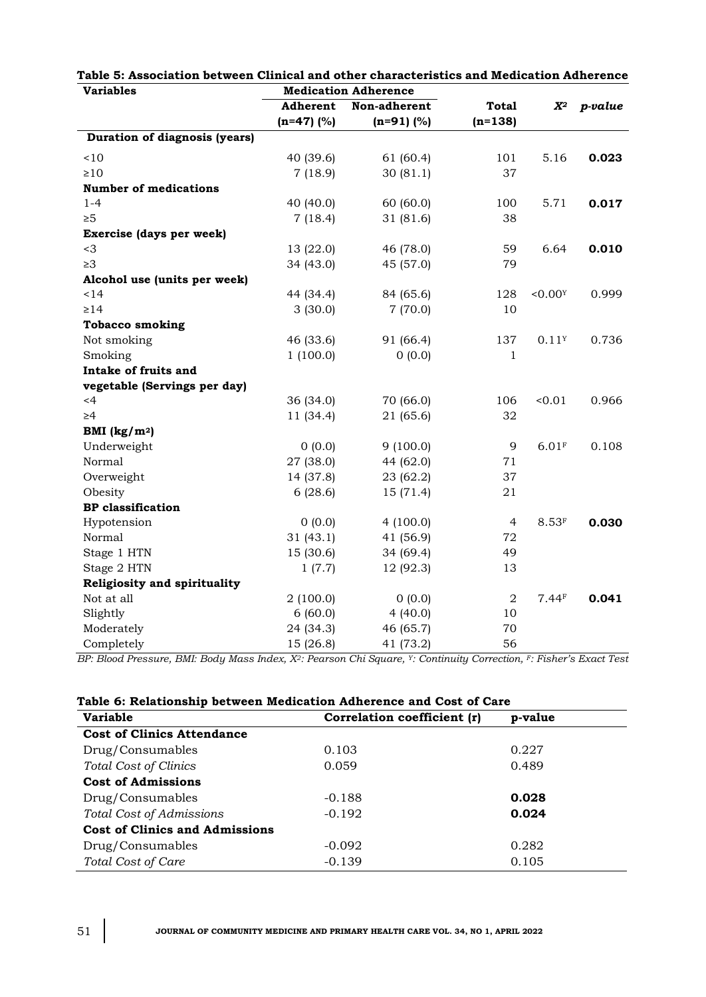| ν αι ιαυισε                          |              | <b>Medication Unitercities</b> |                  |                     |         |
|--------------------------------------|--------------|--------------------------------|------------------|---------------------|---------|
|                                      | Adherent     | Non-adherent                   | <b>Total</b>     | $\boldsymbol{X^2}$  | p-value |
|                                      | $(n=47)$ (%) | $(n=91)$ (%)                   | $(n=138)$        |                     |         |
| <b>Duration of diagnosis (years)</b> |              |                                |                  |                     |         |
| < 10                                 | 40 (39.6)    | 61 (60.4)                      | 101              | 5.16                | 0.023   |
| $\geq 10$                            | 7(18.9)      | 30(81.1)                       | 37               |                     |         |
| <b>Number of medications</b>         |              |                                |                  |                     |         |
| $1 - 4$                              | 40 (40.0)    | 60(60.0)                       | 100              | 5.71                | 0.017   |
| $\geq 5$                             | 7(18.4)      | 31 (81.6)                      | 38               |                     |         |
| Exercise (days per week)             |              |                                |                  |                     |         |
| $<$ 3                                | 13 (22.0)    | 46 (78.0)                      | 59               | 6.64                | 0.010   |
| $\geq 3$                             | 34 (43.0)    | 45 (57.0)                      | 79               |                     |         |
| Alcohol use (units per week)         |              |                                |                  |                     |         |
| 14                                   | 44 (34.4)    | 84 (65.6)                      | 128              | < 0.00Y             | 0.999   |
| $\geq$ 14                            | 3(30.0)      | 7(70.0)                        | 10               |                     |         |
| <b>Tobacco smoking</b>               |              |                                |                  |                     |         |
| Not smoking                          | 46 (33.6)    | 91 (66.4)                      | 137              | 0.11Y               | 0.736   |
| Smoking                              | 1(100.0)     | 0(0.0)                         | 1                |                     |         |
| Intake of fruits and                 |              |                                |                  |                     |         |
| vegetable (Servings per day)         |              |                                |                  |                     |         |
| $<$ 4                                | 36 (34.0)    | 70 (66.0)                      | 106              | < 0.01              | 0.966   |
| $\geq 4$                             | 11 (34.4)    | 21 (65.6)                      | 32               |                     |         |
| BMI $(kg/m2)$                        |              |                                |                  |                     |         |
| Underweight                          | 0(0.0)       | 9(100.0)                       | 9                | $6.01$ F            | 0.108   |
| Normal                               | 27 (38.0)    | 44 (62.0)                      | 71               |                     |         |
| Overweight                           | 14 (37.8)    | 23 (62.2)                      | 37               |                     |         |
| Obesity                              | 6(28.6)      | 15 (71.4)                      | 21               |                     |         |
| <b>BP</b> classification             |              |                                |                  |                     |         |
| Hypotension                          | 0(0.0)       | 4(100.0)                       | 4                | $8.53$ <sup>F</sup> | 0.030   |
| Normal                               | 31(43.1)     | 41 (56.9)                      | 72               |                     |         |
| Stage 1 HTN                          | 15(30.6)     | 34 (69.4)                      | 49               |                     |         |
| Stage 2 HTN                          | 1(7.7)       | 12 (92.3)                      | 13               |                     |         |
| Religiosity and spirituality         |              |                                |                  |                     |         |
| Not at all                           | 2(100.0)     | 0(0.0)                         | $\boldsymbol{2}$ | 7.44F               | 0.041   |
| Slightly                             | 6(60.0)      | 4(40.0)                        | 10               |                     |         |
| Moderately                           | 24 (34.3)    | 46 (65.7)                      | 70               |                     |         |
| Completely                           | 15 (26.8)    | 41 (73.2)                      | 56               |                     |         |

|                  | Table 5: Association between Clinical and other characteristics and Medication Adherence |
|------------------|------------------------------------------------------------------------------------------|
| <b>Variables</b> | <b>Medication Adherence</b>                                                              |

*BP: Blood Pressure, BMI: Body Mass Index, X2: Pearson Chi Square, Y: Continuity Correction, F: Fisher's Exact Test*

| <b>Variable</b>                       | Correlation coefficient (r) | p-value |
|---------------------------------------|-----------------------------|---------|
| <b>Cost of Clinics Attendance</b>     |                             |         |
| Drug/Consumables                      | 0.103                       | 0.227   |
| <b>Total Cost of Clinics</b>          | 0.059                       | 0.489   |
| <b>Cost of Admissions</b>             |                             |         |
| Drug/Consumables                      | $-0.188$                    | 0.028   |
| Total Cost of Admissions              | $-0.192$                    | 0.024   |
| <b>Cost of Clinics and Admissions</b> |                             |         |
| Drug/Consumables                      | $-0.092$                    | 0.282   |
| Total Cost of Care                    | $-0.139$                    | 0.105   |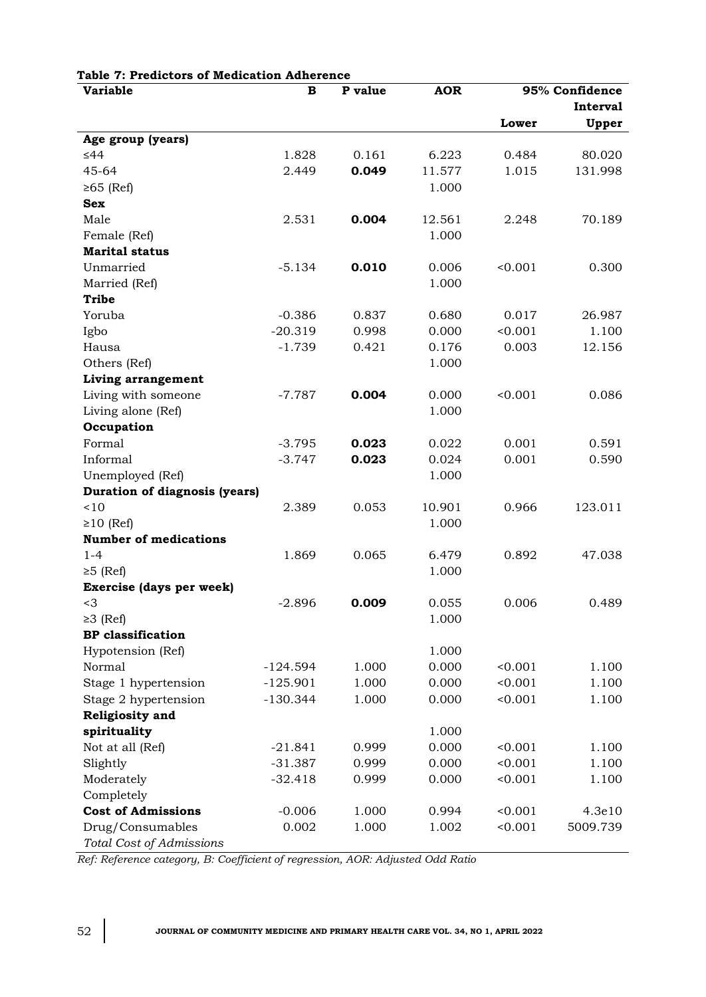| <b>Variable</b>                      | $\, {\bf B}$ | P value | <b>AOR</b> | 95% Confidence |          |
|--------------------------------------|--------------|---------|------------|----------------|----------|
|                                      |              |         |            |                | Interval |
|                                      |              |         |            | Lower          | Upper    |
| Age group (years)                    |              |         |            |                |          |
| $\leq 44$                            | 1.828        | 0.161   | 6.223      | 0.484          | 80.020   |
| 45-64                                | 2.449        | 0.049   | 11.577     | 1.015          | 131.998  |
| $≥65$ (Ref)                          |              |         | 1.000      |                |          |
| <b>Sex</b>                           |              |         |            |                |          |
| Male                                 | 2.531        | 0.004   | 12.561     | 2.248          | 70.189   |
| Female (Ref)                         |              |         | 1.000      |                |          |
| <b>Marital status</b>                |              |         |            |                |          |
| Unmarried                            | $-5.134$     | 0.010   | 0.006      | < 0.001        | 0.300    |
| Married (Ref)                        |              |         | 1.000      |                |          |
| <b>Tribe</b>                         |              |         |            |                |          |
| Yoruba                               | $-0.386$     | 0.837   | 0.680      | 0.017          | 26.987   |
| Igbo                                 | $-20.319$    | 0.998   | 0.000      | < 0.001        | 1.100    |
| Hausa                                | $-1.739$     | 0.421   | 0.176      | 0.003          | 12.156   |
| Others (Ref)                         |              |         | 1.000      |                |          |
| Living arrangement                   |              |         |            |                |          |
| Living with someone                  | $-7.787$     | 0.004   | 0.000      | < 0.001        | 0.086    |
| Living alone (Ref)                   |              |         | 1.000      |                |          |
| Occupation                           |              |         |            |                |          |
| Formal                               | $-3.795$     | 0.023   | 0.022      | 0.001          | 0.591    |
| Informal                             | $-3.747$     | 0.023   | 0.024      | 0.001          | 0.590    |
| Unemployed (Ref)                     |              |         | 1.000      |                |          |
| <b>Duration of diagnosis (years)</b> |              |         |            |                |          |
| ~10                                  | 2.389        | 0.053   | 10.901     | 0.966          | 123.011  |
| $\geq 10$ (Ref)                      |              |         | 1.000      |                |          |
| <b>Number of medications</b>         |              |         |            |                |          |
| $1 - 4$                              | 1.869        | 0.065   | 6.479      | 0.892          | 47.038   |
| $\geq 5$ (Ref)                       |              |         | 1.000      |                |          |
| Exercise (days per week)             |              |         |            |                |          |
| $<$ 3                                | $-2.896$     | 0.009   | 0.055      | 0.006          | 0.489    |
| $\geq 3$ (Ref)                       |              |         | 1.000      |                |          |
| <b>BP</b> classification             |              |         |            |                |          |
| Hypotension (Ref)                    |              |         | 1.000      |                |          |
| Normal                               | $-124.594$   | 1.000   | 0.000      | < 0.001        | 1.100    |
| Stage 1 hypertension                 | $-125.901$   | 1.000   | 0.000      | < 0.001        | 1.100    |
| Stage 2 hypertension                 | $-130.344$   | 1.000   | 0.000      | 0.001          | 1.100    |
| Religiosity and                      |              |         |            |                |          |
| spirituality                         |              |         | 1.000      |                |          |
| Not at all (Ref)                     | $-21.841$    | 0.999   | 0.000      | < 0.001        | 1.100    |
| Slightly                             | $-31.387$    | 0.999   | 0.000      | < 0.001        | 1.100    |
| Moderately                           | $-32.418$    | 0.999   | 0.000      | < 0.001        | 1.100    |
| Completely                           |              |         |            |                |          |
| <b>Cost of Admissions</b>            | $-0.006$     | 1.000   | 0.994      | < 0.001        | 4.3e10   |
| Drug/Consumables                     | 0.002        | 1.000   | 1.002      | < 0.001        | 5009.739 |
| Total Cost of Admissions             |              |         |            |                |          |

### **Table 7: Predictors of Medication Adherence**

*Ref: Reference category, B: Coefficient of regression, AOR: Adjusted Odd Ratio*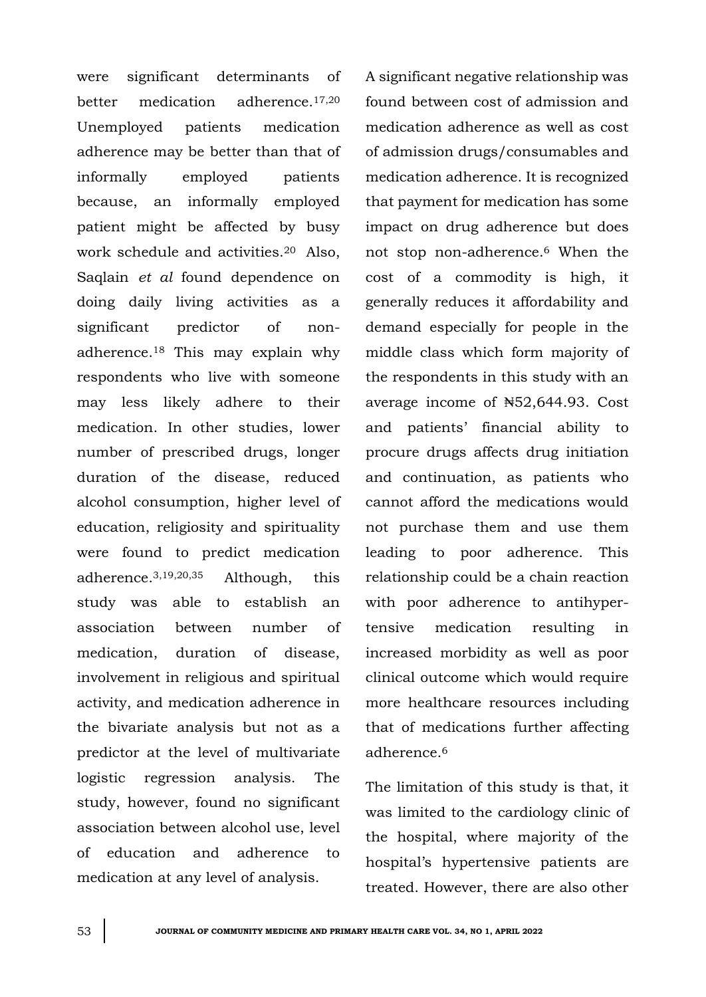were significant determinants of better medication adherence.17,20 Unemployed patients medication adherence may be better than that of informally employed patients because, an informally employed patient might be affected by busy work schedule and activities.<sup>20</sup> Also, Saqlain *et al* found dependence on doing daily living activities as a significant predictor of nonadherence.<sup>18</sup> This may explain why respondents who live with someone may less likely adhere to their medication. In other studies, lower number of prescribed drugs, longer duration of the disease, reduced alcohol consumption, higher level of education, religiosity and spirituality were found to predict medication adherence.3,19,20,35 Although, this study was able to establish an association between number of medication, duration of disease, involvement in religious and spiritual activity, and medication adherence in the bivariate analysis but not as a predictor at the level of multivariate logistic regression analysis. The study, however, found no significant association between alcohol use, level of education and adherence to medication at any level of analysis.

A significant negative relationship was found between cost of admission and medication adherence as well as cost of admission drugs/consumables and medication adherence. It is recognized that payment for medication has some impact on drug adherence but does not stop non-adherence.<sup>6</sup> When the cost of a commodity is high, it generally reduces it affordability and demand especially for people in the middle class which form majority of the respondents in this study with an average income of ₦52,644.93. Cost and patients' financial ability to procure drugs affects drug initiation and continuation, as patients who cannot afford the medications would not purchase them and use them leading to poor adherence. This relationship could be a chain reaction with poor adherence to antihypertensive medication resulting in increased morbidity as well as poor clinical outcome which would require more healthcare resources including that of medications further affecting adherence.<sup>6</sup>

The limitation of this study is that, it was limited to the cardiology clinic of the hospital, where majority of the hospital's hypertensive patients are treated. However, there are also other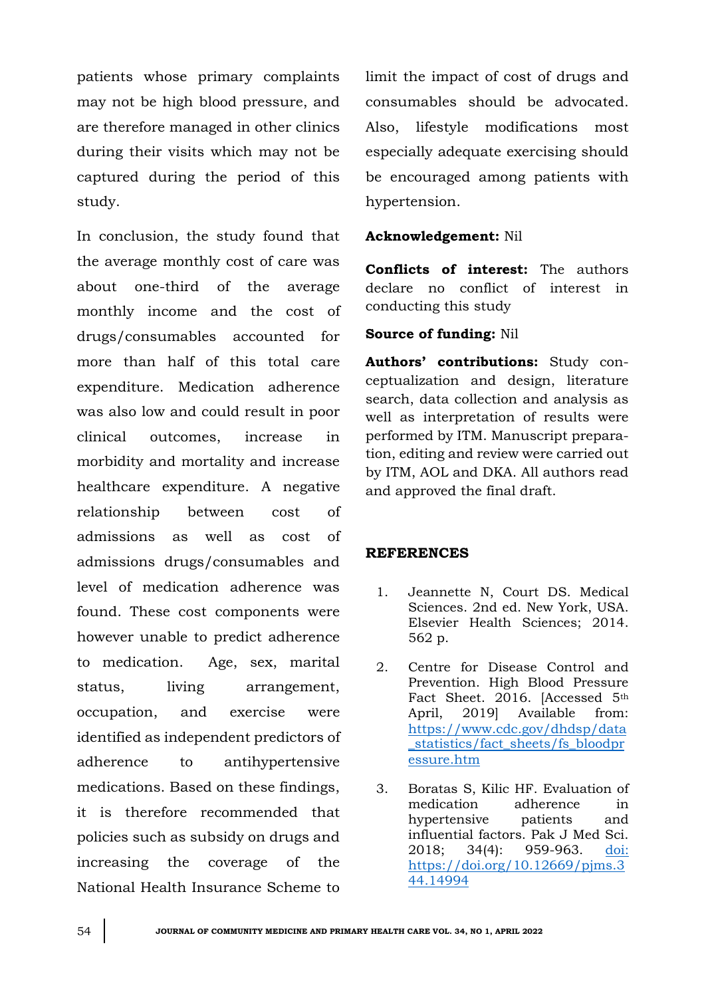patients whose primary complaints may not be high blood pressure, and are therefore managed in other clinics during their visits which may not be captured during the period of this study.

In conclusion, the study found that the average monthly cost of care was about one-third of the average monthly income and the cost of drugs/consumables accounted for more than half of this total care expenditure. Medication adherence was also low and could result in poor clinical outcomes, increase in morbidity and mortality and increase healthcare expenditure. A negative relationship between cost of admissions as well as cost of admissions drugs/consumables and level of medication adherence was found. These cost components were however unable to predict adherence to medication. Age, sex, marital status, living arrangement, occupation, and exercise were identified as independent predictors of adherence to antihypertensive medications. Based on these findings, it is therefore recommended that policies such as subsidy on drugs and increasing the coverage of the National Health Insurance Scheme to

limit the impact of cost of drugs and consumables should be advocated. Also, lifestyle modifications most especially adequate exercising should be encouraged among patients with hypertension.

#### **Acknowledgement:** Nil

**Conflicts of interest:** The authors declare no conflict of interest in conducting this study

#### **Source of funding:** Nil

**Authors' contributions:** Study conceptualization and design, literature search, data collection and analysis as well as interpretation of results were performed by ITM. Manuscript preparation, editing and review were carried out by ITM, AOL and DKA. All authors read and approved the final draft.

#### **REFERENCES**

- 1. Jeannette N, Court DS. Medical Sciences. 2nd ed. New York, USA. Elsevier Health Sciences; 2014. 562 p.
- 2. Centre for Disease Control and Prevention. High Blood Pressure Fact Sheet. 2016. [Accessed 5th April, 2019] Available from: [https://www.cdc.gov/dhdsp/data](https://www.cdc.gov/dhdsp/data_statistics/fact_sheets/fs_bloodpressure.htm) [\\_statistics/fact\\_sheets/fs\\_bloodpr](https://www.cdc.gov/dhdsp/data_statistics/fact_sheets/fs_bloodpressure.htm) [essure.htm](https://www.cdc.gov/dhdsp/data_statistics/fact_sheets/fs_bloodpressure.htm)
- 3. Boratas S, Kilic HF. Evaluation of medication adherence in hypertensive patients and influential factors. Pak J Med Sci. 2018; 34(4): 959-963. [doi:](doi:%20https://doi.org/10.12669/pjms.344.14994)  [https://doi.org/10.12669/pjms.3](doi:%20https://doi.org/10.12669/pjms.344.14994) [44.14994](doi:%20https://doi.org/10.12669/pjms.344.14994)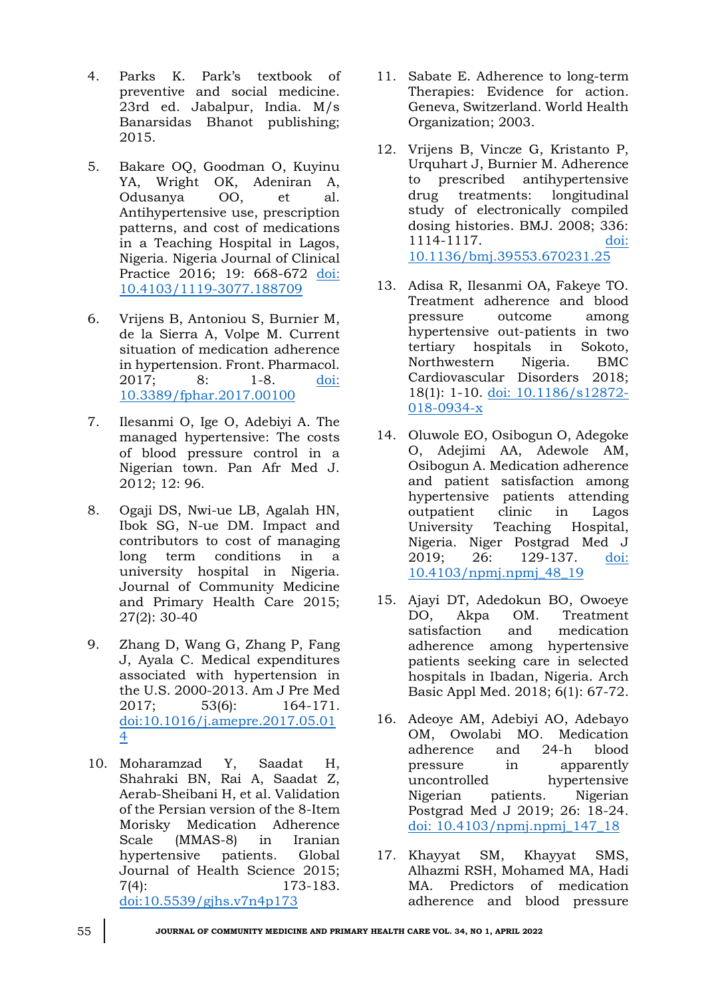- 4. Parks K. Park's textbook of preventive and social medicine. 23rd ed. Jabalpur, India. M/s Banarsidas Bhanot publishing; 2015.
- 5. Bakare OQ, Goodman O, Kuyinu YA, Wright OK, Adeniran A, Odusanya OO, et al. Antihypertensive use, prescription patterns, and cost of medications in a Teaching Hospital in Lagos, Nigeria. Nigeria Journal of Clinical Practice 2016; 19: 668-672 [doi:](doi:%2010.4103/1119-3077.188709)  [10.4103/1119-3077.188709](doi:%2010.4103/1119-3077.188709)
- 6. Vrijens B, Antoniou S, Burnier M, de la Sierra A, Volpe M. Current situation of medication adherence in hypertension. Front. Pharmacol. 2017; 8: 1-8. [doi:](doi:%2010.3389/fphar.2017.00100)  [10.3389/fphar.2017.00100](doi:%2010.3389/fphar.2017.00100)
- 7. Ilesanmi O, Ige O, Adebiyi A. The managed hypertensive: The costs of blood pressure control in a Nigerian town. Pan Afr Med J. 2012; 12: 96.
- 8. Ogaji DS, Nwi-ue LB, Agalah HN, Ibok SG, N-ue DM. Impact and contributors to cost of managing long term conditions in a university hospital in Nigeria. Journal of Community Medicine and Primary Health Care 2015; 27(2): 30-40
- 9. Zhang D, Wang G, Zhang P, Fang J, Ayala C. Medical expenditures associated with hypertension in the U.S. 2000-2013. Am J Pre Med 2017; 53(6): 164-171. [doi:10.1016/j.amepre.2017.05.01](doi:10.1016/j.amepre.2017.05.014) [4](doi:10.1016/j.amepre.2017.05.014)
- 10. Moharamzad Y, Saadat H, Shahraki BN, Rai A, Saadat Z, Aerab-Sheibani H, et al. Validation of the Persian version of the 8-Item Morisky Medication Adherence Scale (MMAS-8) in Iranian hypertensive patients. Global Journal of Health Science 2015; 7(4): 173-183. <doi:10.5539/gjhs.v7n4p173>
- 11. Sabate E. Adherence to long-term Therapies: Evidence for action. Geneva, Switzerland. World Health Organization; 2003.
- 12. Vrijens B, Vincze G, Kristanto P, Urquhart J, Burnier M. Adherence to prescribed antihypertensive drug treatments: longitudinal study of electronically compiled dosing histories. BMJ. 2008; 336: 1114-1117. [doi:](doi:%2010.1136/bmj.39553.670231.25)  [10.1136/bmj.39553.670231.25](doi:%2010.1136/bmj.39553.670231.25)
- 13. Adisa R, Ilesanmi OA, Fakeye TO. Treatment adherence and blood pressure outcome among hypertensive out-patients in two tertiary hospitals in Sokoto, Northwestern Nigeria. BMC Cardiovascular Disorders 2018; 18(1): 1-10. [doi: 10.1186/s12872-](doi:%2010.1186/s12872-018-0934-x) [018-0934-x](doi:%2010.1186/s12872-018-0934-x)
- 14. Oluwole EO, Osibogun O, Adegoke O, Adejimi AA, Adewole AM, Osibogun A. Medication adherence and patient satisfaction among hypertensive patients attending outpatient clinic in Lagos University Teaching Hospital, Nigeria. Niger Postgrad Med J 2019; 26: 129-137. [doi:](doi:%2010.4103/npmj.npmj_48_19)  [10.4103/npmj.npmj\\_48\\_19](doi:%2010.4103/npmj.npmj_48_19)
- 15. Ajayi DT, Adedokun BO, Owoeye DO, Akpa OM. Treatment satisfaction and medication adherence among hypertensive patients seeking care in selected hospitals in Ibadan, Nigeria. Arch Basic Appl Med. 2018; 6(1): 67-72.
- 16. Adeoye AM, Adebiyi AO, Adebayo OM, Owolabi MO. Medication adherence and 24-h blood pressure in apparently uncontrolled hypertensive Nigerian patients. Nigerian Postgrad Med J 2019; 26: 18-24. [doi: 10.4103/npmj.npmj\\_147\\_18](doi:%2010.4103/npmj.npmj_147_18)
- 17. Khayyat SM, Khayyat SMS, Alhazmi RSH, Mohamed MA, Hadi MA. Predictors of medication adherence and blood pressure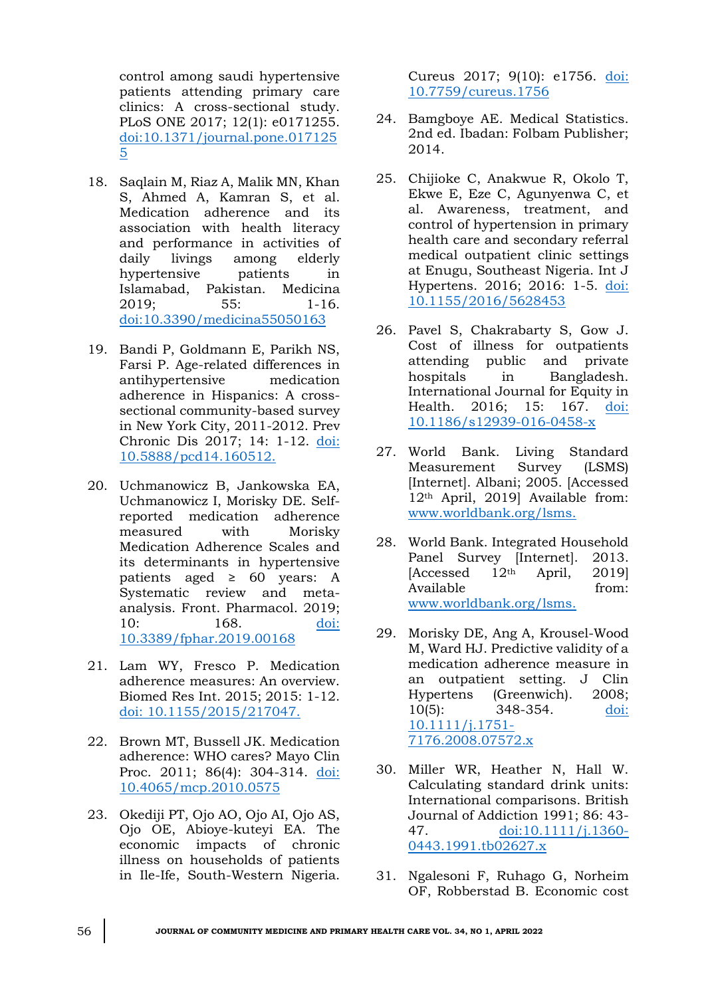control among saudi hypertensive patients attending primary care clinics: A cross-sectional study. PLoS ONE 2017; 12(1): e0171255. [doi:10.1371/journal.pone.017125](doi:10.1371/journal.pone.0171255) [5](doi:10.1371/journal.pone.0171255)

- 18. Saqlain M, Riaz A, Malik MN, Khan S, Ahmed A, Kamran S, et al. Medication adherence and its association with health literacy and performance in activities of daily livings among elderly hypertensive patients in Islamabad, Pakistan. Medicina 2019; 55: 1-16. <doi:10.3390/medicina55050163>
- 19. Bandi P, Goldmann E, Parikh NS, Farsi P. Age-related differences in antihypertensive medication adherence in Hispanics: A crosssectional community-based survey in New York City, 2011-2012. Prev Chronic Dis 2017; 14: 1-12. [doi:](doi:%2010.5888/pcd14.160512.)  [10.5888/pcd14.160512.](doi:%2010.5888/pcd14.160512.)
- 20. Uchmanowicz B, Jankowska EA, Uchmanowicz I, Morisky DE. Selfreported medication adherence measured with Morisky Medication Adherence Scales and its determinants in hypertensive patients aged  $\geq 60$  years: A Systematic review and metaanalysis. Front. Pharmacol. 2019; 10: 168. [doi:](doi:%2010.3389/fphar.2019.00168)  [10.3389/fphar.2019.00168](doi:%2010.3389/fphar.2019.00168)
- 21. Lam WY, Fresco P. Medication adherence measures: An overview. Biomed Res Int. 2015; 2015: 1-12. [doi: 10.1155/2015/217047.](doi:%2010.1155/2015/217047.)
- 22. Brown MT, Bussell JK. Medication adherence: WHO cares? Mayo Clin Proc. 2011; 86(4): 304-314. doi: [10.4065/mcp.2010.0575](doi:%2010.4065/mcp.2010.0575)
- 23. Okediji PT, Ojo AO, Ojo AI, Ojo AS, Ojo OE, Abioye-kuteyi EA. The economic impacts of chronic illness on households of patients in Ile-Ife, South-Western Nigeria.

Cureus 2017; 9(10): e1756. [doi:](doi:%2010.7759/cureus.1756)  [10.7759/cureus.1756](doi:%2010.7759/cureus.1756)

- 24. Bamgboye AE. Medical Statistics. 2nd ed. Ibadan: Folbam Publisher; 2014.
- 25. Chijioke C, Anakwue R, Okolo T, Ekwe E, Eze C, Agunyenwa C, et al. Awareness, treatment, and control of hypertension in primary health care and secondary referral medical outpatient clinic settings at Enugu, Southeast Nigeria. Int J Hypertens. 2016; 2016: 1-5. [doi:](doi:%2010.1155/2016/5628453)  [10.1155/2016/5628453](doi:%2010.1155/2016/5628453)
- 26. Pavel S, Chakrabarty S, Gow J. Cost of illness for outpatients attending public and private hospitals in Bangladesh. International Journal for Equity in Health. 2016; 15: 167. [doi:](doi:%2010.1186/s12939-016-0458-x)  [10.1186/s12939-016-0458-x](doi:%2010.1186/s12939-016-0458-x)
- 27. World Bank. Living Standard Measurement Survey (LSMS) [Internet]. Albani; 2005. [Accessed 12th April, 2019] Available from: [www.worldbank.org/lsms.](file:///C:/Users/Dr%20Omuemu/Desktop/for%20printing/Undergrad%20lect%202022/JCMPHC%2034(1)%20April%202022/www.worldbank.org/lsms)
- 28. World Bank. Integrated Household Panel Survey [Internet]. 2013. [Accessed 12th April, 2019] Available from: [www.worldbank.org/lsms.](file:///C:/Users/Dr%20Omuemu/Desktop/for%20printing/Undergrad%20lect%202022/JCMPHC%2034(1)%20April%202022/www.worldbank.org/lsms)
- 29. Morisky DE, Ang A, Krousel-Wood M, Ward HJ. Predictive validity of a medication adherence measure in an outpatient setting. J Clin Hypertens (Greenwich). 2008; 10(5): 348-354. [doi:](doi:%2010.1111/j.1751-7176.2008.07572.x)  [10.1111/j.1751-](doi:%2010.1111/j.1751-7176.2008.07572.x) [7176.2008.07572.x](doi:%2010.1111/j.1751-7176.2008.07572.x)
- 30. Miller WR, Heather N, Hall W. Calculating standard drink units: International comparisons. British Journal of Addiction 1991; 86: 43- 47. [doi:10.1111/j.1360-](doi:10.1111/j.1360-0443.1991.tb02627.x) [0443.1991.tb02627.x](doi:10.1111/j.1360-0443.1991.tb02627.x)
- 31. Ngalesoni F, Ruhago G, Norheim OF, Robberstad B. Economic cost